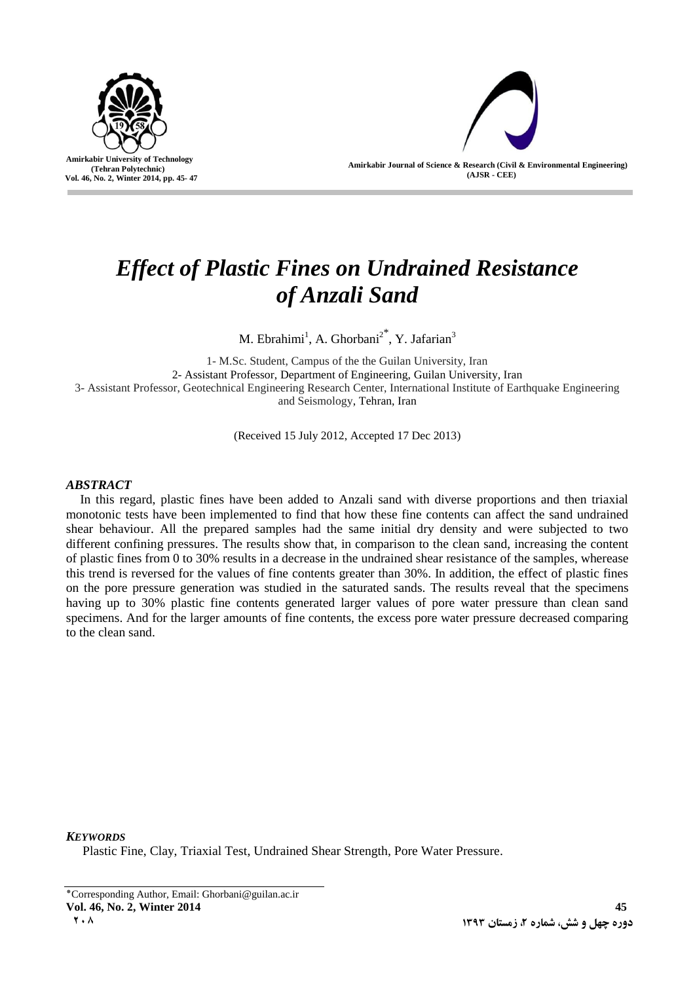

ľ

**Amirkabir Journal of Science & Research (Civil & Environmental Engineering) (AJSR - CEE)**

# *Effect of Plastic Fines on Undrained Resistance of Anzali Sand*

M. Ebrahimi<sup>1</sup>, A. Ghorbani<sup>2\*</sup>, Y. Jafarian<sup>3</sup>

1- M.Sc. Student, Campus of the the Guilan University, Iran 2- Assistant Professor, Department of Engineering, Guilan University, Iran 3- Assistant Professor, Geotechnical Engineering Research Center, International Institute of Earthquake Engineering and Seismology, Tehran, Iran

(Received 15 July 2012, Accepted 17 Dec 2013)

## *ABSTRACT*

In this regard, plastic fines have been added to Anzali sand with diverse proportions and then triaxial monotonic tests have been implemented to find that how these fine contents can affect the sand undrained shear behaviour. All the prepared samples had the same initial dry density and were subjected to two different confining pressures. The results show that, in comparison to the clean sand, increasing the content of plastic fines from 0 to 30% results in a decrease in the undrained shear resistance of the samples, wherease this trend is reversed for the values of fine contents greater than 30%. In addition, the effect of plastic fines on the pore pressure generation was studied in the saturated sands. The results reveal that the specimens having up to 30% plastic fine contents generated larger values of pore water pressure than clean sand specimens. And for the larger amounts of fine contents, the excess pore water pressure decreased comparing to the clean sand.

*KEYWORDS*

Plastic Fine, Clay, Triaxial Test, Undrained Shear Strength, Pore Water Pressure.

<sup>٭</sup>Corresponding Author, Email: Ghorbani@guilan.ac.ir **Vol. 46, No. 2, Winter 2014 45 2083 1393 1393 1393 1393 1393 1393 1393 1393 1393 1393 1393 1393**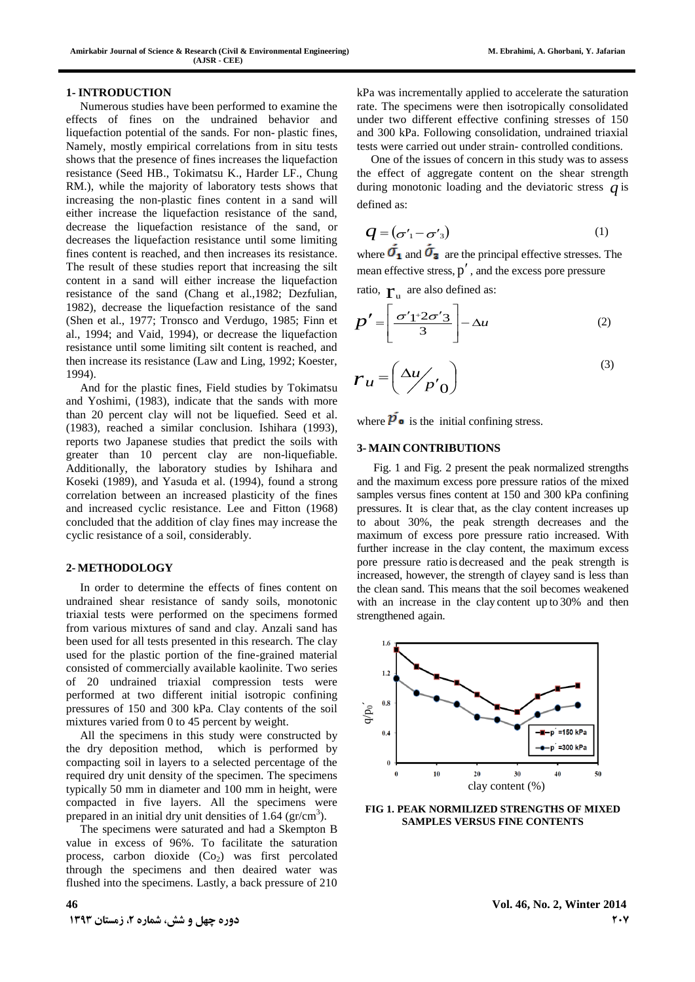## **1- INTRODUCTION**

Numerous studies have been performed to examine the effects of fines on the undrained behavior and liquefaction potential of the sands. For non- plastic fines, Namely, mostly empirical correlations from in situ tests shows that the presence of fines increases the liquefaction resistance (Seed HB., Tokimatsu K., Harder LF., Chung RM.), while the majority of laboratory tests shows that increasing the non-plastic fines content in a sand will either increase the liquefaction resistance of the sand, decrease the liquefaction resistance of the sand, or decreases the liquefaction resistance until some limiting fines content is reached, and then increases its resistance. The result of these studies report that increasing the silt content in a sand will either increase the liquefaction resistance of the sand (Chang et al.,1982; Dezfulian, 1982), decrease the liquefaction resistance of the sand (Shen et al., 1977; Tronsco and Verdugo, 1985; Finn et al., 1994; and Vaid, 1994), or decrease the liquefaction resistance until some limiting silt content is reached, and then increase its resistance (Law and Ling, 1992; Koester, 1994).

And for the plastic fines, Field studies by Tokimatsu and Yoshimi, (1983), indicate that the sands with more than 20 percent clay will not be liquefied. Seed et al. (1983), reached a similar conclusion. Ishihara (1993), reports two Japanese studies that predict the soils with greater than 10 percent clay are non-liquefiable. Additionally, the laboratory studies by Ishihara and Koseki (1989), and Yasuda et al. (1994), found a strong correlation between an increased plasticity of the fines and increased cyclic resistance. Lee and Fitton (1968) concluded that the addition of clay fines may increase the cyclic resistance of a soil, considerably.

## **2- METHODOLOGY**

In order to determine the effects of fines content on undrained shear resistance of sandy soils, monotonic triaxial tests were performed on the specimens formed from various mixtures of sand and clay. Anzali sand has been used for all tests presented in this research. The clay used for the plastic portion of the fine-grained material consisted of commercially available kaolinite. Two series of 20 undrained triaxial compression tests were performed at two different initial isotropic confining pressures of 150 and 300 kPa. Clay contents of the soil mixtures varied from 0 to 45 percent by weight.

All the specimens in this study were constructed by the dry deposition method, which is performed by compacting soil in layers to a selected percentage of the required dry unit density of the specimen. The specimens typically 50 mm in diameter and 100 mm in height, were compacted in five layers. All the specimens were prepared in an initial dry unit densities of  $1.64$  (gr/cm<sup>3</sup>).

The specimens were saturated and had a Skempton B value in excess of 96%. To facilitate the saturation process, carbon dioxide  $(Co<sub>2</sub>)$  was first percolated through the specimens and then deaired water was flushed into the specimens. Lastly, a back pressure of 210 kPa was incrementally applied to accelerate the saturation rate. The specimens were then isotropically consolidated under two different effective confining stresses of 150 and 300 kPa. Following consolidation, undrained triaxial tests were carried out under strain- controlled conditions.

One of the issues of concern in this study was to assess the effect of aggregate content on the shear strength during monotonic loading and the deviatoric stress *q* is defined as:

$$
q = (\sigma'_1 - \sigma'_3) \tag{1}
$$

where  $\overline{\mathbf{O}}_1$  and  $\overline{\mathbf{O}}_2$  are the principal effective stresses. The mean effective stress,  $p'$ , and the excess pore pressure

ratio,  $\mathbf{r}_\text{u}$  are also defined as:

$$
p' = \left[\frac{\sigma' 1 + 2\sigma' 3}{3}\right] - \Delta u \tag{2}
$$

$$
r_u = \left(\frac{\Delta u}{p'}_0\right) \tag{3}
$$

where  $\overline{p}_{\bullet}$  is the initial confining stress.

## **3- MAIN CONTRIBUTIONS**

Fig. 1 and Fig. 2 present the peak normalized strengths and the maximum excess pore pressure ratios of the mixed samples versus fines content at 150 and 300 kPa confining pressures. It is clear that, as the clay content increases up to about 30%, the peak strength decreases and the maximum of excess pore pressure ratio increased. With further increase in the clay content, the maximum excess pore pressure ratio is decreased and the peak strength is increased, however, the strength of clayey sand is less than the clean sand. This means that the soil becomes weakened with an increase in the clay content up to 30% and then strengthened again.



**FIG 1. PEAK NORMILIZED STRENGTHS OF MIXED SAMPLES VERSUS FINE CONTENTS**